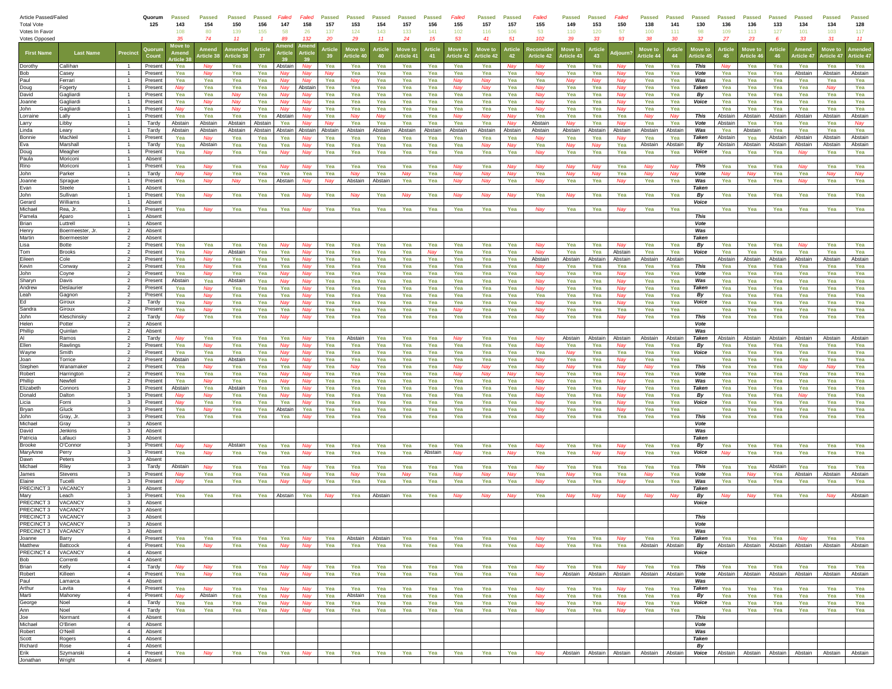| Article Passed/Failed               |                        | Quorum                           | <b>Passed</b>      | <b>Passed</b>  | <b>Passed</b>     | <b>Passed</b>  | Failed     | Failed            | <b>Passed</b>               | <b>Passed</b> | <b>Passed</b>     | <b>Passed</b>  | <b>Passed</b> | Failed         | <b>Passed</b>     | Passed     | Failed            | <b>Passed</b>     | <b>Passed</b>  | Failed                   | <b>Passed</b>         | <b>Passed</b>                           | <b>Passed</b>     | <b>Passed</b>      | <b>Passed</b>      | <b>Passed</b>     | <b>Passed</b>      | <b>Passed</b>      | <b>Passed</b>      |                                                       |
|-------------------------------------|------------------------|----------------------------------|--------------------|----------------|-------------------|----------------|------------|-------------------|-----------------------------|---------------|-------------------|----------------|---------------|----------------|-------------------|------------|-------------------|-------------------|----------------|--------------------------|-----------------------|-----------------------------------------|-------------------|--------------------|--------------------|-------------------|--------------------|--------------------|--------------------|-------------------------------------------------------|
| <b>Total Vote</b><br>Votes In Favor |                        |                                  | 125                | 143<br>108     | 154<br>80         | 150<br>139     | 156<br>155 | 147<br>58         | 158<br>26                   | 157<br>137    | 153<br>124        | 154<br>143     | 157<br>133    | 156<br>141     | 155<br>102        | 157<br>116 | 157<br>106        | 155<br>53         | 149<br>110     | 153<br>120               | 150<br>57             | 138<br>100                              | 141<br>111        | 130<br>98          | 136<br>109         | 136<br>113        | 133<br>127         | 134<br>101         | 134<br>103         | 128<br>117                                            |
| Votes Opposed                       |                        |                                  |                    | 35             | 74                | 11             |            | RQ                | 132                         | 20            | 29                | 11             | 24            | 15             | 53                | 41         | 51                | 102               | 39             | 33                       | 93                    | 38                                      | 30 <sup>2</sup>   | $\mathcal{P}$      | 27                 | 23                |                    | 33                 | 31                 | 11                                                    |
| <b>First Name</b>                   | <b>Last Name</b>       |                                  |                    | Move to        | <b>Amen</b>       |                | Article    |                   | Artick                      | <b>rticl</b>  | Move to           | Article        | Move to       | <b>Article</b> | Move to           | Move to    | <b>Article</b>    |                   | Move to        | Article                  |                       | Move to                                 | Article           | Move to            | <b>Article</b>     | Move to           | Article            | Amend              | Move to            |                                                       |
|                                     |                        | Precino                          |                    |                | <b>Article 38</b> | Article 3      | 37         |                   |                             | 39            | <b>Irticle 40</b> | 40             | Article 41    | 41             | Article 42        | Article 42 | 42                | <b>Article 42</b> | rticle 43      | 43                       |                       | <b>rticle 44</b>                        | 44                | Article 4          | 45                 | Article 4         | 46                 | Article 47         | <b>Article 4</b>   | <b>Article 47</b>                                     |
| Dorothy                             | Callihan               |                                  | Present            | Yea            | Nay               | Yea            | Yea        | Abstair           | Nav                         | Yea           | Yea               | Yea            | Yea           | Yea            | Yea               | Yea        | Nay               | Nav               | Yea            | Yea                      | Nay                   | Yea                                     | Yea               | This               |                    | Yea               | Yea                | Yea                | Yea                | Yea                                                   |
| Bob<br>Paul                         | Casev<br>Ferrari       |                                  | Present<br>Present | Yea<br>Yea     | Nay<br>Yea        | Yea<br>Yea     | Yea<br>Yea | Nav<br>Nay        | Nay<br>Nav                  | Nay<br>Yea    | Yea<br>Nay        | Yea<br>Yea     | Yea<br>Yea    | Yea<br>Yea     | Yea<br>Nay        | Yea<br>Nav | Yea<br>Yea        | Nay<br>Yea        | Yea<br>Nay     | Yea<br>Nav               | Nay<br>Nay            | Yea<br>Yea                              | Yea<br>Yea        | Vote<br>Was        | Yea<br>Yea         | Yea<br>Yea        | Yea<br>Yea         | Abstain<br>Yea     | Abstain<br>Yea     | Abstain<br>Yea                                        |
| Doug                                | Fogerty                |                                  | Present            | Nay            | Yea               | Yea            | Yea        | Nay               | Abstair                     | Yea           | Yea               | Yea            | Yea           | Yea            | Nav               | Nav        | Yea               | Nav               | Yea            | Yea                      | Nay                   | Yea                                     | Yea               | Taken              | Yea                | Yea               | Yea                | Yea                | Nay                | Yea                                                   |
| David                               | Gagliardi              |                                  | Presen             | Yea            | Yea               | Nav            | Yea        | Nav               | Nav                         | Yea           | Yea               | Yea            | Yea           | Yea            | Yea               | Yea        | Yea               | Nav               | Yea            | Yea                      | Nay                   | Yea                                     | Yea               | By                 | Yea                | Yea               | Yea                | Yea                | Yea                | Yea                                                   |
| Joanne<br>John                      | Gagliardi              |                                  | Present            | Yea<br>Nav     | Na                | Nav<br>Nav     | Yea<br>Yea | <b>Nav</b><br>Nav | <b>Nat</b>                  | Yea           | Yea<br>Yea        | Yea            | Yea           | Yea<br>Yea     | Yea<br>Yea        | Yea        | Yea               | <b>Nat</b><br>Nay | Yea<br>Yea     | Yea                      | N <sub>2</sub>        | Yea                                     | Yea               | Voice              | Yea                | Yea               | Yea                | Yea                | Yea<br>Yea         | Yea                                                   |
| Lorraine                            | Gagliardi<br>Lally     |                                  | Present<br>Present | Yea            | Yea<br>Yea        | Yea            | Yea        | Abstair           | Nay<br>Nay                  | Yea<br>Yea    | <b>Na</b>         | Yea<br>Nay     | Yea<br>Yea    | Yea            | Ma                | Yea<br>Nay | Yea<br><b>Nay</b> | Yea               | Yea            | Yea<br>Yea               | Nay<br>Yea            | Yea<br>Nav                              | Yea<br>Nav        | This               | Yea<br>Abstain     | Yea<br>Abstain    | Yea<br>Abstain     | Yea<br>Abstain     | Abstain            | Yea<br>Abstain                                        |
| Larry                               | Libby                  |                                  | Tardy              | Abstain        | Abstain           | Abstain        | Abstair    | Yea               | Na                          |               | Yea               | Yea            | Yea           | Yea            | Yea               | Yea        | Nav               | Abstain           |                | Yea                      |                       | Yea                                     | Yea               | Vote               | Abstain            | Yea               | Yea                | Yea                | Yea                | Nav                                                   |
| Linda                               | Learv                  |                                  | Tardy              | Abstain        | Abstain           | Abstain        | Abstain    | Abstain           | Abstain                     | Abstair       | Abstain           | Abstain        | Abstain       | Abstain        | Abstain           | Abstain    | Abstair           | Abstain           | Abstain        | Abstain                  | Abstain               | Abstain                                 | Abstain           | Was                | Yea                | Abstain           | Yea                | Yea                | Yea                | Yea                                                   |
| Bonnie<br>Eva                       | MacNei<br>Marshall     | $\overline{1}$<br>$\overline{1}$ | Present<br>Tardy   | Yea<br>Yea     | Nav<br>Abstain    | Yea<br>Yea     | Yea<br>Yea | Yea<br>Yea        | <b>Nav</b><br>Na            | Yea<br>Yea    | Yea<br>Yea        | Yea<br>Yea     | Yea<br>Yea    | Yea<br>Yea     | Yea<br>Yea        | Yea<br>Nay | Yea<br>Nav        | Nav<br>Yea        | Yea<br>Nav     | Yea<br>Nav               | Nav<br>Yea            | Yea<br>Abstain                          | Yea<br>Abstair    | <b>Taken</b><br>By | Abstain<br>Abstain | Yea<br>Abstain    | Abstain<br>Abstain | Abstain<br>Abstain | Abstain<br>Abstain | Abstain<br>Abstain                                    |
|                                     | Meagher                |                                  | Presen             | Yea            | Nav               | Yea            | Yea        | Nav               | Nav                         | Yea           | Yea               | Yea            | Yea           | Yea            | Yea               | Yea        | Yea               | Nav               | Yea            | Yea                      | Yea                   | Yea                                     | Yea               | Voice              | Yea                | Yea               | Yea                | Nav                | Yea                | Yea                                                   |
| Doug<br>Paula                       | Moriconi               |                                  | Absen              |                |                   |                |            |                   |                             |               |                   |                |               |                |                   |            |                   |                   |                |                          |                       |                                         |                   |                    |                    |                   |                    |                    |                    |                                                       |
| Rino                                | Moriconi<br>Parker     | $\overline{1}$                   | Present            | Yea            | Nay               | Yea            | Yea        | Nav               | Nay                         | Yea           | Yea               | Yea            | Yea           | Yea            | <b>Nay</b>        | Yea        | Nav               | Nay               | Nay            | <b>Nav</b><br><b>Nav</b> | Yea                   | Nav<br>Nav                              | Nav               | This               | Yea                | Yea               | Yea                | <b>Nay</b>         | Yea<br>May         | Yea                                                   |
| John<br>Joanne                      | Sprague                | $\overline{1}$                   | Tardy<br>Present   | Nav<br>Yea     | Nai<br>Nay        | Yea<br>Nay     | Yea<br>Yea | Yea<br>Abstair    | Yea<br><b>Na</b>            | Yea<br>Nav    | Nay<br>Abstain    | Yea<br>Abstair | Nay<br>Yea    | Yea<br>Yea     | <b>Nay</b><br>Nav | Nay<br>Nav | Nay<br>Yea        | Yea<br>Nay        | Yea            | Yea                      | Yea<br>Nav            | Yea                                     | <b>Nav</b><br>Yea | Vote<br>Was        | Nav<br>Yea         | <b>Nay</b><br>Yea | Yea<br>Yea         | Yea<br>Nav         | Yea                | Nay<br>Yea                                            |
| Evan                                | Steele                 |                                  | Absent             |                |                   |                |            |                   |                             |               |                   |                |               |                |                   |            |                   |                   |                |                          |                       |                                         |                   | Taken              |                    |                   |                    |                    |                    |                                                       |
| John                                | Sullivan               | - 1                              | Present            | Yea            | Nay               | Yea            | Yea        | Yea               | Nav                         | Yea           | Nay               | Yea            | Nay           | Yea            | Nay               | Nay        | Nay               | Yea               | Nay            | Yea                      | Yea                   | Yea                                     | Yea               | By                 | Yea                | Yea               | Yea                | Yea                | Yea                | Yea                                                   |
| Gerard<br>Michael                   | Williams<br>Rea, Jr.   | $\overline{1}$                   | Absent<br>Present  |                | Nav               | Yea            | Yea        | Yea               | Nav                         | Yea           | Yea               | Yea            | Yea           | Yea            | Yea               | Yea        |                   | Nav               | Yea            | Yea                      |                       |                                         | Yea               | Voice              | Yea                | Yea               | Yea                | Yea                | Yea                |                                                       |
| Pamela                              | Aparo                  |                                  | Absen              | Yea            |                   |                |            |                   |                             |               |                   |                |               |                |                   |            | Yea               |                   |                |                          |                       | Yea                                     |                   | This               |                    |                   |                    |                    |                    | Yea                                                   |
| Brian                               | Luttrell               |                                  | Absent             |                |                   |                |            |                   |                             |               |                   |                |               |                |                   |            |                   |                   |                |                          |                       |                                         |                   | Vote               |                    |                   |                    |                    |                    |                                                       |
| Henry<br>Martin                     | Boermeester. Jr        | $\overline{2}$                   | Absent             |                |                   |                |            |                   |                             |               |                   |                |               |                |                   |            |                   |                   |                |                          |                       |                                         |                   | Was                |                    |                   |                    |                    |                    |                                                       |
| Lisa                                | Boermeester<br>Botte   | $\overline{2}$<br>$\overline{2}$ | Absent<br>Present  | Yea            | Yea               | Yea            | Yea        |                   |                             | Yea           | Yea               | Yea            | Yea           | Yea            | Yea               | Yea        | Yea               | Nay               | Yea            | Yea                      | Nay                   | Yea                                     | Yea               | Taken<br>By        | Yea                | Yea               | Yea                | Nay                | Yea                | Yea                                                   |
| Tom                                 | <b>Brooks</b>          | $\overline{2}$                   | Present            | Yea            | Nay               | Abstain        | Yea        | Yea               | Nay                         | Yea           | Yea               | Yea            | Yea           | Nav            | Yea               | Yea        | Yea               | Nay               | Yea            | Yea                      | Abstain               | Yea                                     | Yea               | Voice              | Yea                | Yea               | Yea                | Yea                | Yea                | Yea                                                   |
| Eileen                              | Cole                   | $\overline{2}$                   | Present            | Yea            | Nav               | Yea            | Yea        | Yea               | Nav                         | Yea           | Yea               | Yea            | Yea           | Yea            | Yea               | Yea        | Yea               | Abstain           | Abstain        | Abstain                  | Abstain               | Abstain                                 | Abstain           |                    | Abstain            | Abstain           | Abstain            | Abstain            | Abstain            | Abstain                                               |
| Kevin                               | Conway                 | $\overline{2}$                   | Present            | Yea            | Nay               | Yea            | Yea        | Yea               | <b>Na</b>                   | Yea           | Yea               | Yea            | Yea           | Yea            | Yea               | Yea        | Yea               | Nay               | Yea            | Yea                      | Yea                   | Yea                                     | Yea               | This               | Yea                | Yea               | Yea                | Yea                | Yea                | Yea                                                   |
| John<br>Sharyn                      | Coyne<br>Davis         | $\overline{2}$<br>$\overline{2}$ | Presen<br>Present  | Yea<br>Abstain | Nav<br>Yea        | Yea<br>Abstain | Yea<br>Yea | Nav<br>Nav        | Nav<br>Nay                  | Yea<br>Yea    | Yea<br>Yea        | Yea<br>Yea     | Yea<br>Yea    | Yea<br>Yea     | Yea<br>Yea        | Yea<br>Yea | Yea<br>Yea        | Nav<br><b>Nat</b> | Yea<br>Yea     | Yea<br>Yea               | Nay<br>N <sub>2</sub> | Yea<br>Yea                              | Yea<br>Yea        | Vote<br>Was        | Yea<br>Yea         | Yea<br>Yea        | Yea<br>Yea         | Yea<br>Yea         | Yea<br>Yea         | Yea<br>Yea                                            |
| Andrew                              | Deslaurier             | $\overline{\phantom{a}}$         | Present            | Yea            | <b>Nay</b>        | Yea            | Yea        | Yea               | Nay                         | Yea           | Yea               | Yea            | Yea           | Yea            | Yea               | Yea        | Yea               | Nay               | Yea            | Yea                      | Nay                   | Yea                                     | Yea               | <b>Taken</b>       | Yea                | Yea               | Yea                | Yea                | Yea                | Yea                                                   |
| Leah                                | Gagnon                 | $\overline{2}$                   | Present            | Yea            | Nan               | Yea            | Yea        | Yea               | Nav                         | Yea           | Yea               | Yea            | Yea           | Yea            | Yea               | Yea        | Yea               | Yea               | Yea            | Yea                      | Nay                   | Yea                                     | Yea               | By                 | Yea                | Yea               | Yea                | Yea                | Yea                | Yea                                                   |
| Ed                                  | Giroux<br>Giroux       | $\overline{2}$<br>$\overline{2}$ | Tardy<br>Present   | Yea<br>Yea     | Nav               | Yea<br>Yea     | Yea<br>Yea | Yea               | Nay                         | Yea<br>Yea    | Yea<br>Yea        | Yea<br>Yea     | Yea<br>Yea    | Yea<br>Yea     | Yea               | Yea<br>Yea | Yea<br>Yea        | Nai               | Yea<br>Yea     | Yea<br>Yea               | Nay<br>Yea            | Yea<br>Yea                              | Yea<br>Yea        | Voice              | Yea<br>Yea         | Yea<br>Yea        | Yea<br>Yea         | Yea<br>Yea         | Yea<br>Yea         | Yea<br>Yea                                            |
| Sandra<br>John                      | Kleschinsky            | $\overline{2}$                   | Tardy              | Nay            | Nay<br>Yea        | Yea            | Yea        | Nay               | Nay                         | Yea           | Yea               | Yea            | Yea           | Yea            | Yea               | Yea        | Yea               | Nay<br>Nay        | Yea            | Yea                      | Nay                   | Yea                                     | Yea               | This               | Yea                | Yea               | Yea                | Yea                | Yea                | Yea                                                   |
| Helen<br>Phillip                    | Potter                 | $\overline{2}$                   | Absent             |                |                   |                |            |                   |                             |               |                   |                |               |                |                   |            |                   |                   |                |                          |                       |                                         |                   | Vote               |                    |                   |                    |                    |                    |                                                       |
|                                     | Quinlan                | $\overline{2}$                   | Absent             |                |                   |                |            |                   |                             |               |                   |                |               |                |                   |            |                   |                   |                |                          |                       |                                         |                   | Was                |                    |                   |                    |                    |                    |                                                       |
| Al<br>Ellen                         | Ramos<br>Rawlings      | $\overline{2}$<br>$\overline{2}$ | Tardy<br>Present   | Yea            | Yea<br>Nat        | Yea<br>Yea     | Yea<br>Yea | Yea<br>Nav        | Nay                         | Yea<br>Yea    | Abstain<br>Yea    | Yea<br>Yea     | Yea<br>Yea    | Yea<br>Yea     | Yea               | Yea<br>Yea | Yea<br>Yea        | Nay               | Abstain<br>Yea | Abstair<br>Yea           | Abstain<br><b>Nay</b> | Abstain<br>Yea                          | Abstai<br>Yea     | Taken<br>By        | Abstain<br>Yea     | Abstain<br>Yea    | Abstain<br>Yea     | Abstain<br>Yea     | Abstain<br>Yea     | Abstain<br>Yea                                        |
| Wayne                               | Smith                  | $\overline{2}$                   | Present            | Yea            | Yea               | Yea            | Yea        | May               | <b>Na</b>                   | Yea           | Yea               | Yea            | Yea           | Yea            | Yea               | Yea        | Yea               | Yea               | <b>Nav</b>     | Yea                      | Yea                   | Yea                                     | Yea               | Voice              | Yea                | Yea               | Yea                | Yea                | Yea                | Yea                                                   |
| Joan                                | Torrice                | $\overline{2}$                   | Present            | Abstain        | Yea               | Abstain        | Yea        |                   | Na                          | Yea           | Yea               | Yea            | Yea           | Yea            | Yea               | Yea        | Yea               | Nai               | Yea            | Yea                      | Nay                   | Yea                                     | Yea               |                    | Yea                | Yea               | Yea                | Yea                | Yea                | Yea                                                   |
| Stephen<br>Robert                   | Wanamake<br>Harrington | $\overline{2}$<br>$\overline{2}$ | Present<br>Present | Yea<br>Yea     | Nav               | Yea<br>Yea     | Yea<br>Yea | Yea               |                             | Yea<br>Yea    | Yea               | Yea<br>Yea     | Yea<br>Yea    | Yea<br>Yea     |                   | Nav        | Yea<br>Nav        | Nay               | Nav<br>Yea     | Yea<br>Yea               | Nay                   | Nav<br>Yea                              | Yea<br>Yea        | This<br>Vote       | Yea                | Yea<br>Yea        | Yea                | ٧av                | Yea                | Yea                                                   |
| Phillip                             | Newfell                | $\overline{2}$                   | Present            | Yea            | Yea<br>Nay        | Yea            | Yea        | Nav<br>Nav        | Nav<br>Na                   | Yea           | Yea               | Yea            | Yea           | Yea            | Nav<br>Yea        | Nay<br>Yea | Yea               | Nay<br>Nay        | Yea            | Yea                      | Nay<br>Nay            | Yea                                     | Yea               | Was                | Yea<br>Yea         | Yea               | Yea<br>Yea         | Yea<br>Yea         | Yea                | Yea<br>Yea                                            |
| Elizabeth                           | Connors                | $\mathbf{3}$                     | Present            | Abstain        | Yea               | Abstain        | Yea        | Yea               | Nav                         | Yea           | Yea               | Yea            | Yea           | Yea            | Yea               | Yea        | Yea               | Nav               | Yea            | Yea                      | Nay                   | Yea                                     | Yea               | Taken              | Yea                | Yea               | Yea                | Yea                | Yea                | Yea                                                   |
| Donald                              | Dalton                 | $\mathbf{3}$                     | Preser             |                |                   | Yea            | Yea        |                   |                             | Yea           | Yea               | Yea            | Yea           | Yea            | Yea               | Yea        | Yea               | Na                | Yea            | Yea                      | Na                    | Yea                                     | Yea               | By                 | Yea                | Yea               | Yea                | Nai                | Yea                | Yea                                                   |
| Licia<br>Bryan                      | Forni<br>Gluck         | $\mathbf{3}$<br>$\mathbf{3}$     | Present<br>Present | Nav<br>Yea     | Yea<br>Na         | Yea<br>Yea     | Yea<br>Yea | Yea<br>Abstai     | Nay<br>Yea                  | Yea<br>Yea    | Yea<br>Yea        | Yea<br>Yea     | Yea<br>Yea    | Yea<br>Yea     | Yea<br>Yea        | Yea<br>Yea | Yea<br>Yea        | <b>Nat</b>        | Yea<br>Yea     | Yea<br>Yea               | <b>Nay</b><br>Nay     | Yea<br>Yea                              | Yea<br>Yea        | Voice              | Yea<br>Yea         | Yea<br>Yea        | Yea<br>Yea         | Yea<br>Yea         | Yea<br>Yea         | Yea<br>Yea                                            |
| John                                | Gray, Jr.              | $\mathbf{3}$                     | Present            | Yea            | Yea               | Yea            | Yea        | Yea               |                             | Yea           | Yea               | Yea            | Yea           | Yea            | Yea               | Yea        | Yea               | Nay               | Yea            | Yea                      | Yea                   | Yea                                     | Yea               | This               | Yea                | Yea               | Yea                | Yea                | Yea                | Yea                                                   |
| Michael                             | Gray                   | 3                                | Absent             |                |                   |                |            |                   |                             |               |                   |                |               |                |                   |            |                   |                   |                |                          |                       |                                         |                   | Vote               |                    |                   |                    |                    |                    |                                                       |
| David<br>Patricia                   | Jenkins<br>Lafauci     | $\mathbf{3}$                     | Absent<br>Absent   |                |                   |                |            |                   |                             |               |                   |                |               |                |                   |            |                   |                   |                |                          |                       |                                         |                   | Was<br>Taken       |                    |                   |                    |                    |                    |                                                       |
| Brooke                              | O'Connor               | $_{3}$<br>$\mathbf{3}$           | Present            | Nay            | Nay               | Abstain        | Yea        | Yea               | Nav                         | Yea           | Yea               | Yea            | Yea           | Yea            | Yea               | Yea        | Yea               | Nay               | Yea            | Yea                      | Nay                   | Yea                                     | Yea               | By                 | Yea                | Yea               | Yea                | Yea                | Yea                | Yea                                                   |
| MaryAnne                            | Perry                  | $\mathbf{3}$                     | Presen             | Yea            | Nav               | Yea            | Yea        | Yea               | Nav                         | Yea           | Yea               | Yea            | Yea           | Abstair        | <b>Nay</b>        | Yea        | Nav               | Yea               | Yea            | <b>Nav</b>               | Nav                   | Yea                                     | Yea               | Voice              | Nav                | Yea               | Yea                | Yea                | Yea                | Yea                                                   |
| Dawn                                | Peters                 | $\mathbf{3}$                     | Absent             |                |                   |                |            |                   |                             |               |                   |                |               |                |                   |            |                   |                   |                |                          |                       |                                         |                   |                    |                    |                   |                    |                    |                    |                                                       |
| Michael<br>James                    | Riley<br>Stevens       | $\mathbf{3}$<br>$\mathbf{3}$     | Tardy<br>Present   | Abstair        | Nan<br>Yea        | Yea<br>Yea     | Yea<br>Yea | Yea<br>Yea        | <b>Na</b><br>N <sub>2</sub> | Yea<br>Yea    | Yea<br>Mar        | Yea<br>Yea     | Yea<br>Nay    | Yea<br>Yea     | Yea               | Yea<br>Nav | Yea<br>Mar        | <b>Nat</b><br>Yea | Yea<br>May     | Yea<br>Yea               | Yea<br>Yea            | Yea<br>May                              | Yea<br>Yea        | This<br>Vote       | Yea<br>Yea         | Yea<br>Nay        | Abstair<br>Yea     | Yea<br>Abstain     | Yea<br>Abstain     | Yea<br>Abstain                                        |
| Elaine                              | <b>Tucell</b>          | $\overline{3}$                   | Present            | Nav            | Yea               | Yea            | Yea        |                   |                             | Yea           | Yea               | Yea            | Yea           | Yea            | Yea               | Yea        | Yea               |                   | Yea            | Yea                      | Na۱                   | Yea                                     | Yea               | Was                | Yea                | Yea               | Yea                | Yea                | Yea                | Yea                                                   |
| PRECINCT <sub>3</sub>               | <b>VACANCY</b>         | 3                                | Absent             |                |                   |                |            |                   |                             |               |                   |                |               |                |                   |            |                   |                   |                |                          |                       |                                         |                   | Taken              |                    |                   |                    |                    |                    |                                                       |
| Mary<br>PRECINCT <sub>3</sub>       | each<br><b>VACANCY</b> | - 3                              | Present<br>Absent  | Yea            | Yea               | Yea            | Yea        | Abstain           | Yea                         | Nay           | Yea               | Abstair        | Yea           | Yea            | Nay               | Nay        | Nay               | Yea               | Nay            | Nav                      | Nay                   | Nay                                     | Nav               | By                 | Nav                | Nay               | Yea                | Yea                | Nay                | Abstain                                               |
| PRECINCT 3                          | <b>VACANCY</b>         | $\mathbf{3}$<br>$\mathbf{3}$     | Absent             |                |                   |                |            |                   |                             |               |                   |                |               |                |                   |            |                   |                   |                |                          |                       |                                         |                   | Voice              |                    |                   |                    |                    |                    |                                                       |
| PRECINCT <sub>3</sub>               | VACANC'                |                                  |                    |                |                   |                |            |                   |                             |               |                   |                |               |                |                   |            |                   |                   |                |                          |                       |                                         |                   | <b>This</b>        |                    |                   |                    |                    |                    |                                                       |
| PRECINCT 3                          | VACANCY                | $\mathbf{3}$                     | Absent             |                |                   |                |            |                   |                             |               |                   |                |               |                |                   |            |                   |                   |                |                          |                       |                                         |                   | Vote               |                    |                   |                    |                    |                    |                                                       |
| PRECINCT 3<br>Joanne                | VACANCY<br>Barry       | $\mathbf{3}$<br>$\overline{4}$   | Absent<br>Present  | Yea            | Yea               | Yea            | Yea        | Yea               | Nav                         | Yea           | Abstain           | Abstain        | Yea           | Yea            | Yea               | Yea        | Yea               | Nav               | Yea            | Yea                      | Nav                   | Yea                                     | Yea               | Was<br>Taken       | Yea                | Yea               | Yea                | Nav                | Yea                | Yea                                                   |
| Matthew                             | Battcock               | $\overline{4}$                   | Present            | Yea            | Nay               | Yea            | Yea        | Nay               | Nay                         | Yea           | Yea               | Yea            | Yea           | Yea            | Yea               | Yea        | Yea               | Nay               | Yea            | Yea                      | Yea                   | Abstain                                 | Abstain           | By                 | Abstain            | Abstain           | Abstain            | Abstain            | Abstain            | Abstain                                               |
| PRECINCT 4                          | VACANCY                | $\overline{4}$                   | Absent             |                |                   |                |            |                   |                             |               |                   |                |               |                |                   |            |                   |                   |                |                          |                       |                                         |                   | Voice              |                    |                   |                    |                    |                    |                                                       |
| Bob                                 | Correnti               | $\overline{4}$                   | Absent             |                |                   |                |            |                   |                             |               |                   |                |               |                |                   |            |                   |                   |                |                          |                       |                                         |                   |                    |                    |                   |                    |                    |                    |                                                       |
| Brian<br>Robert                     | Kelly<br>Killeen       | $\overline{4}$<br>$\overline{4}$ | Tardy<br>Present   | Nav<br>Yea     | Nav<br>Nay        | Yea<br>Yea     | Yea<br>Yea | Nav<br>Nay        | Nav<br>Nay                  | Yea<br>Yea    | Yea<br>Yea        | Yea<br>Yea     | Yea<br>Yea    | Yea<br>Yea     | Yea<br>Yea        | Yea<br>Yea | Yea<br>Yea        | Nav<br>Nay        | Yea<br>Abstain | Yea<br>Abstain           | Nav<br>Abstain        | Yea<br>Abstain                          | Yea<br>Abstain    | This<br>Vote       | Yea<br>Abstain     | Yea<br>Abstain    | Yea<br>Abstain     | Yea<br>Abstain     | Yea<br>Abstain     | Yea<br>Abstain                                        |
| Paul                                | Lamarca                | $\overline{4}$                   | Absent             |                |                   |                |            |                   |                             |               |                   |                |               |                |                   |            |                   |                   |                |                          |                       |                                         |                   | Was                |                    |                   |                    |                    |                    |                                                       |
| Arthur                              | Lavita                 | $\overline{4}$                   | Present            | Yea            | Nay               | Yea            | Yea        | Nav               | <b>Na</b> น                 | Yea           | Yea               | Yea            | Yea           | Yea            | Yea               | Yea        | Yea               | Nay               | Yea            | Yea                      | Nav                   | Yea                                     | Yea               | Taken              | Yea                | Yea               | Yea                | Yea                | Yea                | Yea                                                   |
| Marti                               | Mahoney<br>Noel        | $\overline{4}$<br>$\overline{4}$ | Present<br>Tardy   | Nav<br>Yea     | Abstain<br>Yea    | Yea<br>Yea     | Yea<br>Yea | Nay               | Nay                         | Yea<br>Yea    | Abstain<br>Yea    | Yea<br>Yea     | Yea<br>Yea    | Yea<br>Yea     | Yea<br>Yea        | Yea<br>Yea | Yea<br>Yea        | Nay               | Yea<br>Yea     | Yea<br>Yea               | Yea                   | Yea<br>Yea                              | Yea<br>Yea        | By<br>Voice        | Yea<br>Yea         | Yea<br>Yea        | Yea<br>Yea         | Yea<br>Yea         | Yea<br>Yea         | Yea<br>Yea                                            |
| George<br>Ann                       | Noel                   | $\overline{4}$                   | Tardy              | Yea            | Yea               | Yea            | Yea        | Nay<br>Nay        | Nay<br>Nay                  | Yea           | Yea               | Yea            | Yea           | Yea            | Yea               | Yea        | Yea               | Nay<br>Nay        | Yea            | Yea                      | Nay<br>Nay            | Yea                                     | Yea               |                    | Yea                | Yea               | Yea                | Yea                | Yea                | Yea                                                   |
| Joe                                 | Normant                | $\overline{4}$                   | Absent             |                |                   |                |            |                   |                             |               |                   |                |               |                |                   |            |                   |                   |                |                          |                       |                                         |                   | This               |                    |                   |                    |                    |                    |                                                       |
| Michael<br>Robert                   | O'Brien                | $\overline{4}$                   | Absent             |                |                   |                |            |                   |                             |               |                   |                |               |                |                   |            |                   |                   |                |                          |                       |                                         |                   | Vote               |                    |                   |                    |                    |                    |                                                       |
| Scott                               | O'Neill<br>Rogers      | $\overline{4}$<br>$\overline{4}$ | Absent<br>Absent   |                |                   |                |            |                   |                             |               |                   |                |               |                |                   |            |                   |                   |                |                          |                       |                                         |                   | Was<br>Taken       |                    |                   |                    |                    |                    |                                                       |
| Richard                             | Rose                   | $\overline{4}$                   | Absent             |                |                   |                |            |                   |                             |               |                   |                |               |                |                   |            |                   |                   |                |                          |                       |                                         |                   | By                 |                    |                   |                    |                    |                    |                                                       |
| Erik                                | Szymanski              | $\overline{4}$                   | Present            | Yea            | Nay               | Yea            | Yea        | Yea               | Nay                         | Yea           | Yea               | Yea            | Yea           | Yea            | Yea               | Yea        | Yea               | Nay               |                |                          |                       | Abstain Abstain Abstain Abstain Abstain |                   |                    |                    |                   |                    |                    |                    | Voice Abstain Abstain Abstain Abstain Abstain Abstain |
| Jonathan                            | Wright                 | $\overline{4}$                   | Absent             |                |                   |                |            |                   |                             |               |                   |                |               |                |                   |            |                   |                   |                |                          |                       |                                         |                   |                    |                    |                   |                    |                    |                    |                                                       |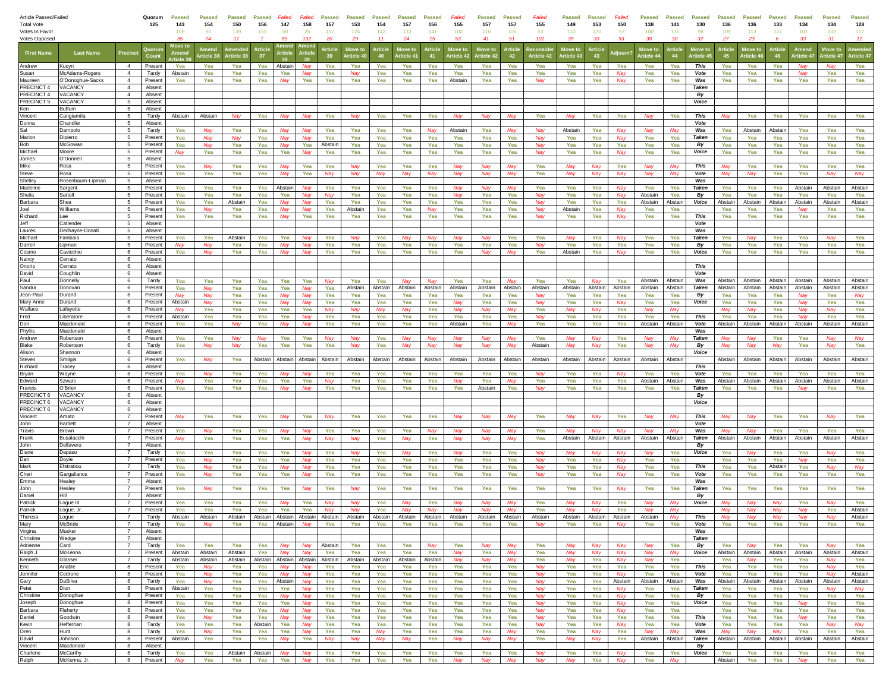| Article Passed/Failed   |                          |                       | Quorum             | Passed         | <b>Passed</b>             | <b>Passed</b>  | <b>Passed</b>  | Failed          | Failed     | <b>Passed</b>   | <b>Passed</b>        | <b>Passed</b> | <b>Passed</b>                     | <b>Passed</b>  | Failed                | <b>Passed</b>         | <b>Passed</b>       | Failed            | <b>Passed</b>        | <b>Passed</b>   | Failed           | <b>Passed</b>       | <b>Passed</b>     | <b>Passed</b>              | <b>Passed</b>  | <b>Passed</b>        | Passed         | <b>Passed</b>          | <b>Passed</b>        | <b>Passed</b>      |
|-------------------------|--------------------------|-----------------------|--------------------|----------------|---------------------------|----------------|----------------|-----------------|------------|-----------------|----------------------|---------------|-----------------------------------|----------------|-----------------------|-----------------------|---------------------|-------------------|----------------------|-----------------|------------------|---------------------|-------------------|----------------------------|----------------|----------------------|----------------|------------------------|----------------------|--------------------|
| <b>Total Vote</b>       | Votes In Favor           |                       | 125                | 143<br>108     | 154<br>80                 | 150<br>139     | 156<br>155     | 147<br>58       | 158<br>26  | 157<br>137      | 153<br>124           | 154<br>143    | 157<br>133                        | 156<br>141     | 155<br>102            | 157<br>116            | 157<br>106          | 155<br>53         | 149<br>110           | 153<br>120      | 150<br>57        | 138<br>100          | 141<br>111        | 130<br>98                  | 136<br>109     | 136<br>113           | 133<br>127     | 134<br>101             | 134<br>103           | 128<br>117         |
| Votes Opposed           |                          |                       |                    | 35             | 74                        | 11             |                | 89              | 132        | 20              | 29                   | 11            | 24                                | 15             | 53                    | 41                    | 51                  | 102               | 39                   | 33              | 93               | 38                  | 30 <sup>2</sup>   | $\boldsymbol{\mathcal{D}}$ | 27             | 23                   |                | 33                     | 31                   | 11                 |
| <b>First Name</b>       | <b>Last Name</b>         | Precin                |                    | Move to        | Amen<br><b>Irticle 38</b> | Article 3      | Article<br>37  | rticl           | rticl      | -39             | Move to<br>Article 4 | 40            | Move to<br>Article 4 <sup>*</sup> | rticle<br>41   | Move to<br>Article 42 | Move to<br>Article 42 | <b>rticle</b><br>42 | <b>Article 42</b> | Move to<br>rticle 43 | Artick<br>43    |                  | Move to<br>rticle 4 | Article<br>44     | Move to<br>Article 4       | Article<br>45  | Move to<br>Article 4 | Article<br>46  | Ameno<br>Article 47    | Move to<br>rticle 47 | <b>Article 47</b>  |
| Andrew                  | Kucvn                    | $\overline{4}$        | Present            | Yea            | Yea                       | Yea            | Yea            | Abstair         | Nav        | Yea             | Yea                  | Yea           | Yea                               | Yea            | Yea                   | Yea                   | Yea                 | Yea               | Yea                  | Yea             | Yea              | Yea                 | Yea               | This                       | Yea            | Yea                  | Yea            | Nay                    |                      | Yea                |
| Susan                   | McAdams-Rogers           | $\overline{4}$        | Tardy              | Abstain        | Yea                       | Yea            | Yea            | Yea             | Nay        | Yea             | Na                   | Yea           | Yea                               | Yea            | Yea                   | Yea                   | Yea                 | Yea               | Yea                  | Yea             | Nay              | Yea                 | Yea               | Vote                       | Yea            | Yea                  | Yea            | Nay                    | Yea                  | Yea                |
| Maureen                 | O'Donoghue-Sacks         | $\overline{4}$        | Present            | Yea            | Yea                       | Yea            | Yea            | Nav             | Yea        | Yea             | Yea                  | Yea           | Yea                               | Yea            | Abstain               | Yea                   | Yea                 | Nay               | Yea                  | Yea             | Nay              | Yea                 | Yea               | Was                        | Yea            | Yea                  | Yea            | Yea                    | Yea                  | Yea                |
| RECINCT 4               | VACANCY                  | $\overline{4}$        | Absent             |                |                           |                |                |                 |            |                 |                      |               |                                   |                |                       |                       |                     |                   |                      |                 |                  |                     |                   | Taken                      |                |                      |                |                        |                      |                    |
| PRECINCT 4              | VACANCY                  | $\overline{4}$        | Absent             |                |                           |                |                |                 |            |                 |                      |               |                                   |                |                       |                       |                     |                   |                      |                 |                  |                     |                   | By                         |                |                      |                |                        |                      |                    |
| <b>RECINCT 5</b><br>Ken | <b>/ACANC\</b><br>Buffum | -5<br>5               | Absent<br>Absent   |                |                           |                |                |                 |            |                 |                      |               |                                   |                |                       |                       |                     |                   |                      |                 |                  |                     |                   | Voice                      |                |                      |                |                        |                      |                    |
| Vincent                 | Cangiamila               | -5                    | Tardy              | Abstain        | Abstain                   | Nay            | Yea            | <b>Na</b> เ     | <b>Nay</b> | Yea             | Nav                  | Yea           | Yea                               | Yea            | Nay                   | Nay                   | Nav                 | Yea               | Nay                  | Yea             | Yea              | Nay                 | Yea               | This                       | Nav            | Yea                  | Yea            | Yea                    | Yea                  | Yea                |
| Donna                   | Chandler                 | 5                     | Absent             |                |                           |                |                |                 |            |                 |                      |               |                                   |                |                       |                       |                     |                   |                      |                 |                  |                     |                   | Vote                       |                |                      |                |                        |                      |                    |
| Sal                     | Dampolo                  | 5                     | Tardy              | Yea            | Nav                       | Yea            | Yea            |                 |            | Yea             | Yea                  | Yea           | Yea                               |                | Abstain               | Yea                   | Nav                 | Nay               | Abstain              | Yea             | Na               | Nav                 |                   | Was                        | Yea            | Abstain              | Abstain        | Yea                    | Yea                  | Yea                |
| Marion                  | Dipierro                 | $5\phantom{.0}$       | Present            | Yea            | Nay                       | Nay            | Yea            | Nav             | Nav        | Yea             | Yea                  | Yea           | Yea                               | Yea            | Yea                   | Yea                   | Yea                 | Nav               | Yea                  | Yea             | Nay              | Yea                 | Yea               | <b>Taken</b>               | Yea            | Yea                  | Yea            | Yea                    | Yea                  | Yea                |
| Bob                     | McGowan                  | $5\overline{5}$       | Present            | Yea            | Nay                       | Yea            | Yea            | Nay             | Yea        | Abstair         | Yea                  | Yea           | Yea                               | Yea            | Yea                   | Yea                   | Yea                 | Nay               | Yea                  | Yea             | Yea              | Yea                 | Yea               | By                         | Yea            | Yea                  | Yea            | Yea                    | Yea                  | Yea                |
| Michael<br>James        | Moore<br>O'Donnell       | -5<br>5               | Present<br>Absent  | Nav            | Yea                       | Yea            | Yea            | Yea             | Nav        | Yea             | Yea                  | Yea           | Yea                               | Yea            | Yea                   | Yea                   | Yea                 | Nav               | Yea                  | Yea             | Nav              | Yea                 | Yea               | Voice                      | Yea            | Yea                  | Yea            | Yea                    | Yea                  | Yea                |
| Mike                    | Rosa                     | 5                     | Present            | Yea            | <b>Nay</b>                | Yea            | Yea            | <b>Nay</b>      | Yea        | Yea             | Nav                  | Yea           | Yea                               | Yea            | <b>Nay</b>            | Nav                   | Nav                 | Yea               | Nay                  |                 | Yea              | Nav                 | <b>Nay</b>        | <b>This</b>                | <b>Nay</b>     | Yea                  | Yea            | Yea                    | Yea                  | Yea                |
| Steve                   | Rosa                     | -5                    | Present            | Yea            | Yea                       | Yea            | Yea            | <b>Nay</b>      | Yea        | N <sub>Pl</sub> | Nay                  | Nay           | Nay                               | Nav            | Nay                   | Nay                   | Nav                 | Yea               | Nav                  | Ma              | Nay              | Nay                 | May               | Vote                       | Mai            | Nav                  | Yea            | Yea                    | Nav                  | Nay                |
| Shelley                 | Rosenbaum-Lipman         | 5                     | Absent             |                |                           |                |                |                 |            |                 |                      |               |                                   |                |                       |                       |                     |                   |                      |                 |                  |                     |                   | Was                        |                |                      |                |                        |                      |                    |
| Madeline                | Sargent                  | 5                     | Presen             | Yea            | Yea                       | Yea            | Yea            | Abstair         | Na١        | Yea             | Yea                  | Yea           | Yea                               | Yea            | Nay                   |                       |                     | Yea               | Yea                  | Yea             |                  | Yea                 | Yea               | <b>Taken</b>               | Yea            | Yea                  | Yea            | Abstain                | Abstain              | Abstain            |
| Sheila                  | Sartell                  | 5                     | Present            | Yea            | Yea                       | Yea            | Yea            | Yea             | Nav        | Nav             | Yea                  | Yea           | Yea                               | Yea            | Nay                   | Yea                   | Yea                 | Nay               | Yea                  | Yea             | Nay              | Abstain             | Yea               | By                         | Yea            | Yea                  | Yea            | Yea                    | Yea                  | Yea                |
| <b>Barbara</b><br>Joel  | Shea<br>Williams         | 5<br>5                | Present<br>Present | Yea<br>Yea     | Yea<br>Nav                | Abstain<br>Yea | Yea<br>Yea     | Nav<br>Nav      | Nav<br>Nav | Yea<br>Yea      | Yea<br>Abstain       | Yea<br>Yea    | Yea<br>Yea                        | Yea<br>Nav     | Yea<br>Yea            | Yea<br>Yea            | Yea<br>Yea          | Nay<br>Nav        | Yea<br>Abstain       | Yea<br>Yea      | Yea<br>Na        | Abstain<br>Yea      | Abstair<br>Yea    | Voice                      | Abstain<br>Yea | Abstain<br>Yea       | Abstain<br>Yea | Abstain<br><b>Nay</b>  | Abstain<br>Yea       | Abstain<br>Yea     |
| Richard                 | Lee                      | 5                     | Present            | Yea            | Yea                       | Yea            | Yea            |                 | Yea        | Yea             | Yea                  | Yea           | Yea                               | Yea            | Yea                   | Yea                   | Yea                 | Nay               | Yea                  | Yea             |                  | Yea                 | Yea               | <b>This</b>                | Yea            | Yea                  | Yea            | Yea                    | Yea                  | Yea                |
| Jeff                    | Catlender                | 5                     | Absent             |                |                           |                |                |                 |            |                 |                      |               |                                   |                |                       |                       |                     |                   |                      |                 |                  |                     |                   | Vote                       |                |                      |                |                        |                      |                    |
| Lauren                  | Dechayne-Donati          | 5                     | Absent             |                |                           |                |                |                 |            |                 |                      |               |                                   |                |                       |                       |                     |                   |                      |                 |                  |                     |                   | Was                        |                |                      |                |                        |                      |                    |
| Michael                 | Fantasia                 | 5                     | Present            | Yea            | Yea                       | Abstain        | Yea            | Yea             | Na         | Yea             | Nav                  | Yea           | Nay                               | Na۱            | Nay                   | Nay                   | Yea                 | Yea               | Nav                  | Yea             | Nay              | Yea                 | Yea               | Taken                      | Yea            | Nay                  | Yea            | Yea                    | Nav                  | Yea                |
| Darrell                 | Lipman                   | 5                     | Present            | Nay            | Vav                       | Yea            | Yea            |                 | Nay        | Yea             | Yea                  | Yea           | Yea                               | Yea            | Yea                   | Yea                   | Yea                 | Nai               | Yea                  | Yea             | Yea              | Yea                 | Yea               | By                         | Yea            | Yea                  | Yea            | Yea                    | Yea                  | Yea                |
| Cosmo<br>Nancy          | Cavicchio<br>Cerrato     | 6<br>6                | Present<br>Absent  | Yea            | Nay                       | Yea            | Yea            | Nav             | Nav        | Yea             | Yea                  | Yea           | Yea                               | Yea            | Yea                   | Nay                   | Nay                 | Yea               | Abstain              | Yea             | Nay              | Yea                 | Yea               | Voice                      | Yea            | Yea                  | Yea            | Yea                    | Yea                  | Yea                |
| Onorio                  | Cerrato                  | 6                     | Absent             |                |                           |                |                |                 |            |                 |                      |               |                                   |                |                       |                       |                     |                   |                      |                 |                  |                     |                   | This                       |                |                      |                |                        |                      |                    |
| avid                    | Coughlin                 | 6                     | Absent             |                |                           |                |                |                 |            |                 |                      |               |                                   |                |                       |                       |                     |                   |                      |                 |                  |                     |                   | Vote                       |                |                      |                |                        |                      |                    |
| Paul                    | Donnelly                 | 6                     | Tardy              | Yea            | Yea                       | Yea            | Yea            | Yea             | Yea        |                 | Yea                  | Yea           |                                   |                | Yea                   | Yea                   |                     | Yea               | Yea                  |                 | Yea              | Abstain             | Abstai            | Was                        | Abstain        | Abstain              | Abstain        | Abstain                | Abstain              | Abstain            |
| Sandra                  | Donovan                  | 6                     | Present            | Yea            | Nav                       | Yea            | Yea            | Yea             | <b>Nay</b> | Yea             | Abstain              | Abstain       | Abstain                           | Abstain        | Abstain               | Abstain               | Abstai              | Abstain           | Abstain              | Abstair         | Abstain          | Abstain             | Abstai            | Taken                      | Abstain        | Abstain              | Abstain        | Abstain                | Abstain              | Abstain            |
| Jean-Paul               | Durand                   | 6                     | Present            | Nav            | Nav                       | Yea            | Yea            | <b>Na</b> เ     | Nav        | Yea             | Yea                  | Yea           | Yea                               | Yea            | Yea                   | Yea                   | Yea                 |                   | Yea                  | Yea             | Yea              | Yea                 | Yea               | By                         | Yea            | Yea                  | Yea            | <b>Mar</b>             | Yea                  | <b>Nav</b>         |
| Mary Anne<br>Vallace    | Durand<br>Lafayette      | 6<br>6                | Present<br>Present | Abstain<br>Nav | Yea                       | Yea<br>Yea     | Yea<br>Yea     | Yea             | Yea        | Yea             | Yea<br>Nay           | Yea           | Yea<br>Nav                        | Yea<br>Yea     |                       | Yea                   | Yea<br>Nav          | Nai<br>Yea        | Yea                  | Yea             | Yea              | Yea<br>Na١          | Yea               | Voice                      | Yea            | Yea                  | Yea<br>Yea     | Nav                    | Yea                  | Yea<br>Yea         |
| Fred                    | Liberatore               | 6                     | Present            | Abstain        | Yea                       | Yea            | Yea            | Yea             | Nav        | Yea             | Yea                  | Yea           | Yea                               | Yea            | Na۱<br>Yea            | Nay<br>Yea            | Yea                 | Nay               | Yea                  | Yea             | Yea              | Yea                 | Yea               | This                       | Yea            | Yea                  | Yea            | Na۱<br>Nay             | Na۱<br>Yea           | Yea                |
| Don                     | Macdonald                | 6                     | Present            | Yea            | Yea                       | Nay            | Yea            | Nav             | Nay        | Yea             | Yea                  | Yea           | Yea                               | Yea            | Abstain               | Yea                   | Nay                 | Yea               | Yea                  | Yea             | Yea              | Abstain             | Abstain           | Vote                       | Abstain        | Abstain              | Abstain        | Abstain                | Abstain              | Abstain            |
| Phyllis                 | Macdonald                | 6                     | Absent             |                |                           |                |                |                 |            |                 |                      |               |                                   |                |                       |                       |                     |                   |                      |                 |                  |                     |                   | Was                        |                |                      |                |                        |                      |                    |
| Andrew                  | Robertson                | 6                     | Present            | Yea            | Yea                       |                |                | Yea             | Yea        |                 | Na                   | Yea           |                                   |                |                       |                       | Nai                 | Yea               | <b>Na</b>            |                 | Yea              | Nav                 |                   | <b>Taken</b>               |                |                      | Yea            | Yea                    |                      | <b>Nav</b>         |
| lake                    | Robertson                | 6                     | Tardy              | Yea            | <b>Nay</b>                | Nav            | Yea            | Yea             | Yea        | Yea             | Nav                  | Yea           | Nav                               | Nav            | Nav                   | Nav                   | Nav                 | Abstain           | Nav                  | N <sub>Pl</sub> | Yea              | Nav                 | <b>Nay</b>        | By                         | Nay            | Nav                  | <b>Nay</b>     | Yea                    | Nav                  | Yea                |
| Alison                  | Shannon                  | 6                     | Absent             |                |                           |                |                |                 |            |                 |                      |               |                                   |                |                       |                       |                     |                   |                      |                 |                  |                     |                   | Voice                      |                |                      |                |                        |                      |                    |
| Steven<br>Richard       | Smilgis<br>Tracey        | 6<br>6                | Present<br>Absent  | Yea            | Nav                       | Yea            | Abstain        | Abstair         | Abstain    | Abstair         | Abstain              | Abstain       | Abstain                           | Abstain        | Abstain               | Abstain               | Abstair             | Abstain           | Abstain              | Abstain         | Abstain          | Abstain             | Abstair           | This                       | Abstain        | Abstain              | Abstain        | Abstain                | Abstain              | Abstain            |
| Brvan                   | Wavne                    | 6                     | Present            | Yea            | Nav                       | Yea            | Yea            | Nav             | Nav        | Yea             | Yea                  | Yea           | Yea                               | Yea            | Yea                   | Yea                   | Yea                 | . Nav             | Yea                  | Yea             | Nav              | Yea                 | Yea               | Vote                       | Yea            | Yea                  | Yea            | Yea                    | Yea                  | Yea                |
| dward                   | Szwarc                   | 6                     | Present            | Nay            | Yea                       | Yea            | Yea            | Yea             | Yea        | Nav             | Yea                  | Yea           | Yea                               | Yea            | Nay                   | Yea                   | Nav                 | Yea               | Yea                  | Yea             | Yea              | Abstain             | Abstair           | Was                        | Abstain        | Abstain              | Abstain        | Abstain                | Abstain              | Abstain            |
| rancis                  | O'Brien                  | 6                     | Present            | Yea            | Yea                       | Yea            | Yea            | Nav             | Nav        | Yea             | Yea                  | Yea           | Yea                               | Yea            | Yea                   | Abstain               | Yea                 | Nav               | Yea                  | Yea             | Yea              | Yea                 | Yea               | Taken                      | Yea            | Yea                  | Yea            | Nav                    | Yea                  | Yea                |
| <b>RECINCT6</b>         | VACANC'                  | 6                     | Absen              |                |                           |                |                |                 |            |                 |                      |               |                                   |                |                       |                       |                     |                   |                      |                 |                  |                     |                   | By                         |                |                      |                |                        |                      |                    |
| <b>RECINCT 6</b>        | VACANCY                  | 6                     | Absent             |                |                           |                |                |                 |            |                 |                      |               |                                   |                |                       |                       |                     |                   |                      |                 |                  |                     |                   | Voice                      |                |                      |                |                        |                      |                    |
| PRECINCT 6              | <b>VACANCY</b>           | - 6<br>$\overline{7}$ | Absent             |                |                           |                |                |                 |            |                 |                      |               |                                   |                |                       |                       |                     |                   |                      |                 |                  |                     |                   |                            |                |                      |                |                        |                      |                    |
| Vincent<br>John         | Amato<br><b>Bartlett</b> |                       | Present<br>Absen   | Nav            | Yea                       | Yea            | Yea            | Nav             | Yea        | Nav             | Yea                  | Yea           | Yea                               | Yea            | Nay                   | Nav                   | Nay                 | Yea               | Nay                  | Nav             | Yea              | Nay                 | Nay               | This<br>Vote               |                | Nay                  | Yea            | Yea                    | Nay                  | Yea                |
| Travis                  | Brown                    |                       | Present            | Yea            | Nay                       | Yea            | Yea            | Nav             | Nay        | Yea             | Yea                  | Yea           | Yea                               | Nay            | Nay                   | Nay                   | Nay                 | Yea               | Nav                  | Nav             | <b>Na</b>        | Nay                 | Nav               | Was                        | Nav            | Nay                  | Yea            | Yea                    | Yea                  | Yea                |
| Frank                   | Busalacchi               |                       | Present            | Nay            | Yea                       | Yea            | Yea            | Yea             | Nay        | Nay             | Nay                  | Yea           | Nay                               | Yea            | Nay                   | Nay                   | Nay                 | Yea               | Abstain              | Abstain         | Abstain          | Abstain             | Abstain           | Taken                      | Abstain        | Abstain              | Abstain        | Abstain                | Abstain              | Abstain            |
| John                    | Delfavero                |                       | Absent             |                |                           |                |                |                 |            |                 |                      |               |                                   |                |                       |                       |                     |                   |                      |                 |                  |                     |                   | By                         |                |                      |                |                        |                      |                    |
| Diane                   | Depaso                   |                       | Tardy              | Yea            | Yea                       | Yea            | Yea            | Yea             |            | Yea             | Nay                  | Yea           |                                   | Yea            | <b>Nay</b>            | Yea                   | Yea                 | Na                | Na                   |                 |                  |                     | Yea               | Voice                      | Yea            |                      | Yea            | Yea                    |                      | Yea                |
| Dan<br>Mark             | Doyle<br>Efstratiou      |                       | Present            | Yea<br>Yea     | Na<br><b>Nay</b>          | Yea<br>Yea     | Yea<br>Yea     | Yea<br>May      | <b>Nay</b> | Yea<br>Yea      | Yea<br>Yea           | Yea<br>Yea    | Yea<br>Yea                        | Yea<br>Yea     | Yea<br>Yea            | Yea<br>Yea            | Yea<br>Yea          | Na<br><b>Nat</b>  | Yea<br>Yea           | Yea<br>Yea      | Na<br><b>Na</b>  | Yea<br>Yea          | Yea               |                            | Yea            | Yea<br>Yea           | Yea<br>Abstair | N <sub>21</sub><br>Yea | Yea<br>Nav           | Yea<br>Nav         |
| Cheri                   | Gargalianos              |                       | Tardy<br>Present   | Yea            | Nav                       | Yea            | Yea            | Yea             | May        | Yea             | Yea                  | Yea           | Yea                               | Yea            | Yea                   | Yea                   | Yea                 | Nay               | Yea                  | Yea             | Na               | Yea                 | Yea<br>Yea        | This<br>Vote               | Yea<br>Yea     | Yea                  | Yea            | Yea                    | Yea                  | Yea                |
| mma                     | Healey                   |                       | Absent             |                |                           |                |                |                 |            |                 |                      |               |                                   |                |                       |                       |                     |                   |                      |                 |                  |                     |                   | Was                        |                |                      |                |                        |                      |                    |
| John                    | Healev                   |                       | Present            | Yea            | Nav                       | Yea            | Yea            | Yea             |            | Yea             | Nav                  | Yea           | Yea                               | Yea            | Yea                   | Yea                   | Yea                 | Yea               | Yea                  | Yea             | Na               | Yea                 | Yea               | Taken                      | Yea            | Yea                  | Yea            | Yea                    | Yea                  | Yea                |
| <b>Daniel</b>           | Hill                     | 7                     | Absent             |                |                           |                |                |                 |            |                 |                      |               |                                   |                |                       |                       |                     |                   |                      |                 |                  |                     |                   | By                         |                |                      |                |                        |                      |                    |
| Patrick                 | Logue III                | $\overline{7}$        | Present            | Yea            | Yea                       | Yea            | Yea            |                 | Yea        | Na              | Nay                  | Yea           | Nay                               | Yea            | Nay                   | Nav                   | Nay                 | Yea               | Nay                  |                 | Yea              | Nay                 | <b>Nav</b>        | Voice                      |                | Nay                  | Nav            | Yea                    | Nay                  | Yea                |
| Patrick                 | Logue, Jr                | $\overline{7}$        | Present            | Yea            | Yea                       | Yea            | Yea            | Yea             | Yea        | Nav             | Nay                  | Yea           | Nav                               | Nav            | Nay                   | Nav                   | Nav                 | Yea               | Nav                  |                 | Yea              | Nav                 | Nav               |                            | Nav            | Nav                  | Nav            | Nav                    | Yea                  | Abstain            |
| heresa<br>Mary          | ogue<br>McBride          | $\overline{7}$        | Tardy              | Yea            | Absta<br>Nav              | Yea            |                | Yea Abstain     | Nav        | Yea             | Abstai<br>Yea        | Abstai<br>Yea | Abstair<br>Yea                    | Abstair<br>Yea | Abstair<br>Yea        | Abstair<br>Yea        | Absta<br>Yea        | Abstair<br>Nay    | Abstai<br>Yea        | Yea             | Nay              | Yea                 | Yea               | <b>This</b><br>Vote        | Yea            | Yea                  | Yea            | Yea                    | Yea                  | Yea                |
| Virgina                 | Musker                   | $\overline{7}$        | Absent             |                |                           |                |                |                 |            |                 |                      |               |                                   |                |                       |                       |                     |                   |                      |                 |                  |                     |                   | Was                        |                |                      |                |                        |                      |                    |
| Christine               | Wedge                    | $\overline{7}$        | Absent             |                |                           |                |                |                 |            |                 |                      |               |                                   |                |                       |                       |                     |                   |                      |                 |                  |                     |                   | Taken                      |                |                      |                |                        |                      |                    |
| Adrienne                | Card                     | $\overline{7}$        | Tardy              | Yea            | Yea                       | Yea            | Yea            | Nav             | Nay        | Abstain         | Yea                  | Yea           | Yea                               |                | Yea                   | Nav                   | Nav                 | Yea               | Nay                  | Nav             | Nay              | Nay                 | Yea               | By                         | Yea            | Nav                  | Yea            | Yea                    |                      | Yea                |
| Ralph J.                | McKenna                  | $\overline{7}$        | Present            | Abstain        | Abstain                   | Abstain        | Yea            | Nav             | Nav        | Yea             | Yea                  | Yea           | Yea                               | Yea            | Nay                   | Yea                   | Nay                 | Yea               | Nay                  | Nav             | Nay              | Nay                 | Nay               | Voice                      | Abstain        | Abstain              | Abstain        | Abstain                | Abstain              | Abstain            |
| Kenneth                 | Glasser                  | $\overline{7}$        | Tardy              | Abstain        | Abstain                   | Abstain        |                | Abstain Abstain | Abstain    | Abstain         | Abstain              | Abstain       | Abstain                           | Abstain        | Nay                   | Nay                   | Nay                 | Yea               | Nay                  | Yea             | Nay              | Nay                 | Yea               |                            | Yea            | Nay                  | Yea            | Yea                    | Nay                  | Yea                |
| Eric                    | Anable                   | 8<br>8                | Present            | Yea            | Nav<br><b>Nay</b>         | Yea            | Yea            | Nav<br>Nav      | Nav        | Yea             | Yea                  | Yea           | Yea                               | Yea            | Yea                   | Yea                   | Yea                 | Nav               | Yea                  | Yea             | Yea<br><b>Na</b> | Yea                 | Yea               | This                       | Yea            | Yea                  | Yea            | Yea                    | Nav                  | Yea                |
| Jennifer<br>Gary        | Cedrone<br>DaSilva       | 8                     | Present<br>Tardy   | Yea<br>Yea     | Nay                       | Yea<br>Yea     | Yea<br>Yea     | Abstain         | Nay<br>Nav | Yea<br>Yea      | Yea<br>Yea           | Yea<br>Yea    | Yea<br>Yea                        | Yea<br>Yea     | Yea<br>Yea            | Yea<br>Yea            | Yea<br>Yea          | Nay<br>Nav        | Yea<br>Yea           | Yea<br>Yea      | Abstain          | Yea<br>Abstain      | Yea<br>Abstain    | Vote<br>Was                | Yea<br>Abstain | Yea<br>Abstain       | Yea<br>Abstain | Yea<br>Abstain         | Nay<br>Abstain       | Abstain<br>Abstain |
| Peter                   | Dion                     | 8                     | Present            | Abstain        | Yea                       | Yea            | Yea            | Yea             | Nav        | Yea             | Yea                  | Yea           | Yea                               | Yea            | Yea                   | Yea                   | Yea                 | Nay               | Yea                  | Yea             | Nay              | Yea                 | Yea               | Taken                      | Yea            | Yea                  | Yea            | Yea                    | <b>Nav</b>           | Nay                |
| Christine               | Donoghue                 | 8                     | Present            | Yea            | Yea                       | Yea            | Yea            | Nav             |            | Yea             | Yea                  | Yea           | Yea                               | Yea            | Yea                   | Yea                   | Yea                 | Nav               | Yea                  | Yea             | Nay              | Yea                 | Yea               | By                         | Yea            | Yea                  | Yea            | Yea                    | Yea                  | Yea                |
| Joseph                  | Donoghue                 | 8                     | Present            | Yea            | Yea                       | Yea            | Yea            | Yea             | Nay        | Yea             | Yea                  | Yea           | Yea                               | Yea            | Yea                   | Yea                   | Yea                 | Nay               | Yea                  | Yea             | Nay              | Yea                 | Yea               | Voice                      | Yea            | Yea                  | Yea            | Nay                    | Yea                  | Yea                |
| Barbara                 | Flaherty                 | 8                     | Present            | Yea            | Yea                       | Yea            | Yea            | Nav             | Nay        | Yea             | Yea                  | Yea           | Yea                               | Yea            | Yea                   | Yea                   | Yea                 | Nay               | Yea                  | Yea             | Nay              | Yea                 | Yea               |                            | Yea            | Yea                  | Yea            | Yea                    | Yea                  | Yea                |
| Daniel                  | Goodwin                  | 8                     | Present            | Yea            | Nay                       | Yea            | Yea            | Nav             | Nay        | Yea             | Yea                  | Yea           | Yea                               | Yea            | Yea                   | Yea                   | Yea                 | Nay               | Yea                  | Yea             | Yea              | Yea                 | Yea               | This                       | Yea            | Yea                  | Yea            | Nay                    | Yea                  | Yea                |
| Kevin<br>Oren           | Heffernan<br>Hunt        | 8<br>8                | Tardy<br>Tardy     | Yea<br>Yea     | Yea<br>Nay                | Yea<br>Yea     | Abstain<br>Yea | Yea<br>Yea      | Nay<br>Nay | Yea<br>Yea      | Yea<br>Yea           | Yea<br>Nav    | Yea<br>Yea                        | Yea<br>Yea     | Yea<br>Yea            | Yea<br>Yea            | Yea<br>Nav          | Nay<br>Yea        | Yea<br>Yea           | Yea             | Nay<br>Yea       | Yea<br>Nav          | Yea<br><b>Nay</b> | Vote<br>Was                | Yea<br>Nav     | Yea                  | Yea            | Yea<br>Yea             | Nay<br>Yea           | Nay<br>Yea         |
| David                   | Johnson                  | 8                     | Present            | Abstain        | Yea                       | Yea            | Yea            | Nav             | Yea        | Nay             | Nay                  | Nay           | Nay                               | Yea            | Nay                   | Nay                   | Nay                 | Yea               | Nay                  | Nav             | Yea              | Abstain             | Abstain           | Taken                      | Abstain        | Abstain              | Abstain        | Abstain                | Abstain              | Abstain            |
| Vincent                 | Macdonald                | 8                     | Absent             |                |                           |                |                |                 |            |                 |                      |               |                                   |                |                       |                       |                     |                   |                      |                 |                  |                     |                   | By                         |                |                      |                |                        |                      |                    |
| Charlene                | McCarthy                 | 8                     | Tardy              | Yea            | Yea                       | Abstain        | Abstain        | Nav             | Nav        | Yea             | Yea                  | Yea           | Yea                               | Yea            | Yea                   | Yea                   | Yea                 | Nay               | Yea                  | Yea             | Nay              | Yea                 | Yea               | Voice                      | Yea            | Yea                  | Yea            | Yea                    | Yea                  | Yea                |
| Ralph                   | McKenna, Jr.             | 8                     | Present            | Nay            | Yea                       | Yea            | Yea            | Yea             | Nay        | Yea             | Yea                  | Yea           | Yea                               | Yea            | Nay                   | Nay                   | Nay                 | Nay               | Nay                  | Yea             | Nay              | Yea                 | Nay               |                            | Abstain        | Yea                  | Yea            | Nay                    | Yea                  | Yea                |